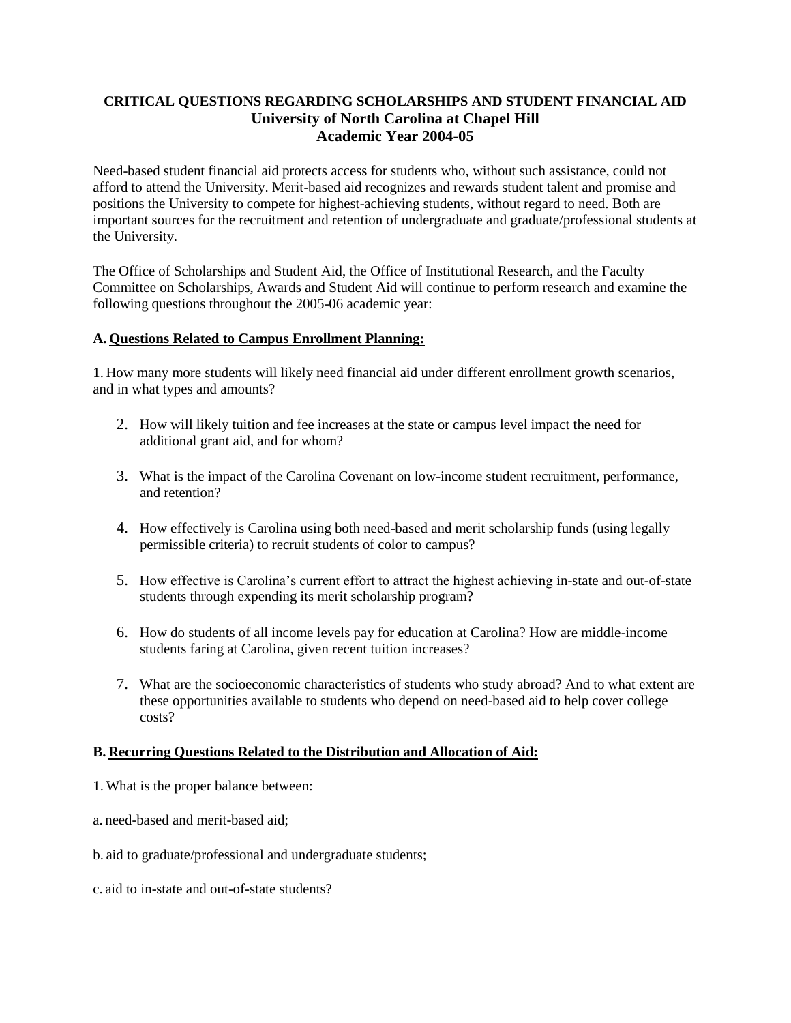## **CRITICAL QUESTIONS REGARDING SCHOLARSHIPS AND STUDENT FINANCIAL AID University of North Carolina at Chapel Hill Academic Year 2004-05**

Need-based student financial aid protects access for students who, without such assistance, could not afford to attend the University. Merit-based aid recognizes and rewards student talent and promise and positions the University to compete for highest-achieving students, without regard to need. Both are important sources for the recruitment and retention of undergraduate and graduate/professional students at the University.

The Office of Scholarships and Student Aid, the Office of Institutional Research, and the Faculty Committee on Scholarships, Awards and Student Aid will continue to perform research and examine the following questions throughout the 2005-06 academic year:

## **A. Questions Related to Campus Enrollment Planning:**

1. How many more students will likely need financial aid under different enrollment growth scenarios, and in what types and amounts?

- 2. How will likely tuition and fee increases at the state or campus level impact the need for additional grant aid, and for whom?
- 3. What is the impact of the Carolina Covenant on low-income student recruitment, performance, and retention?
- 4. How effectively is Carolina using both need-based and merit scholarship funds (using legally permissible criteria) to recruit students of color to campus?
- 5. How effective is Carolina's current effort to attract the highest achieving in-state and out-of-state students through expending its merit scholarship program?
- 6. How do students of all income levels pay for education at Carolina? How are middle-income students faring at Carolina, given recent tuition increases?
- 7. What are the socioeconomic characteristics of students who study abroad? And to what extent are these opportunities available to students who depend on need-based aid to help cover college costs?

## **B. Recurring Questions Related to the Distribution and Allocation of Aid:**

- 1. What is the proper balance between:
- a. need-based and merit-based aid;
- b. aid to graduate/professional and undergraduate students;
- c. aid to in-state and out-of-state students?